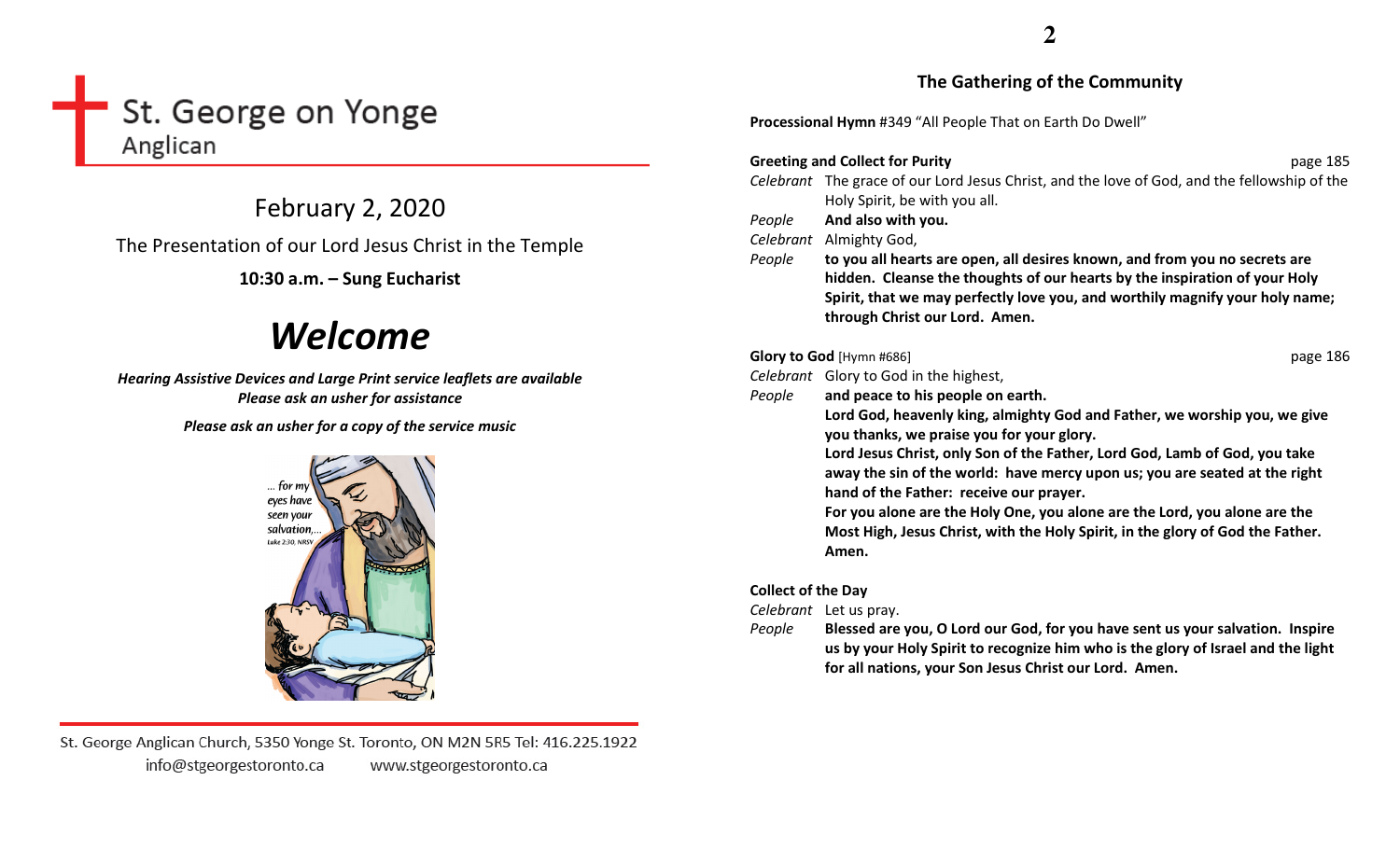# St. George on Yonge Anglican

February 2, 2020 The Presentation of our Lord Jesus Christ in the Temple 10:30 a.m. – Sung Eucharist

# Welcome

Hearing Assistive Devices and Large Print service leaflets are available Please ask an usher for assistance

Please ask an usher for a copy of the service music



# The Gathering of the Community

Processional Hymn #349 "All People That on Earth Do Dwell"

|                           | <b>Greeting and Collect for Purity</b><br>page 185                                                                                                                                                  |          |  |
|---------------------------|-----------------------------------------------------------------------------------------------------------------------------------------------------------------------------------------------------|----------|--|
| Celebrant                 | The grace of our Lord Jesus Christ, and the love of God, and the fellowship of the<br>Holy Spirit, be with you all.                                                                                 |          |  |
| People                    | And also with you.                                                                                                                                                                                  |          |  |
|                           | Celebrant Almighty God,                                                                                                                                                                             |          |  |
| People                    | to you all hearts are open, all desires known, and from you no secrets are                                                                                                                          |          |  |
|                           | hidden. Cleanse the thoughts of our hearts by the inspiration of your Holy                                                                                                                          |          |  |
|                           | Spirit, that we may perfectly love you, and worthily magnify your holy name;                                                                                                                        |          |  |
|                           | through Christ our Lord. Amen.                                                                                                                                                                      |          |  |
| Glory to God [Hymn #686]  |                                                                                                                                                                                                     | page 186 |  |
|                           | Celebrant Glory to God in the highest,                                                                                                                                                              |          |  |
| People                    | and peace to his people on earth.                                                                                                                                                                   |          |  |
|                           | Lord God, heavenly king, almighty God and Father, we worship you, we give<br>you thanks, we praise you for your glory.                                                                              |          |  |
|                           | Lord Jesus Christ, only Son of the Father, Lord God, Lamb of God, you take<br>away the sin of the world: have mercy upon us; you are seated at the right<br>hand of the Father: receive our prayer. |          |  |
|                           | For you alone are the Holy One, you alone are the Lord, you alone are the                                                                                                                           |          |  |
|                           | Most High, Jesus Christ, with the Holy Spirit, in the glory of God the Father.                                                                                                                      |          |  |
|                           | Amen.                                                                                                                                                                                               |          |  |
| <b>Collect of the Day</b> |                                                                                                                                                                                                     |          |  |
|                           | Celebrant Let us pray.                                                                                                                                                                              |          |  |

 $e$  Blessed are you, O Lord our God, for you have sent us your salvation. Inspire Peopleus by your Holy Spirit to recognize him who is the glory of Israel and the light for all nations, your Son Jesus Christ our Lord. Amen.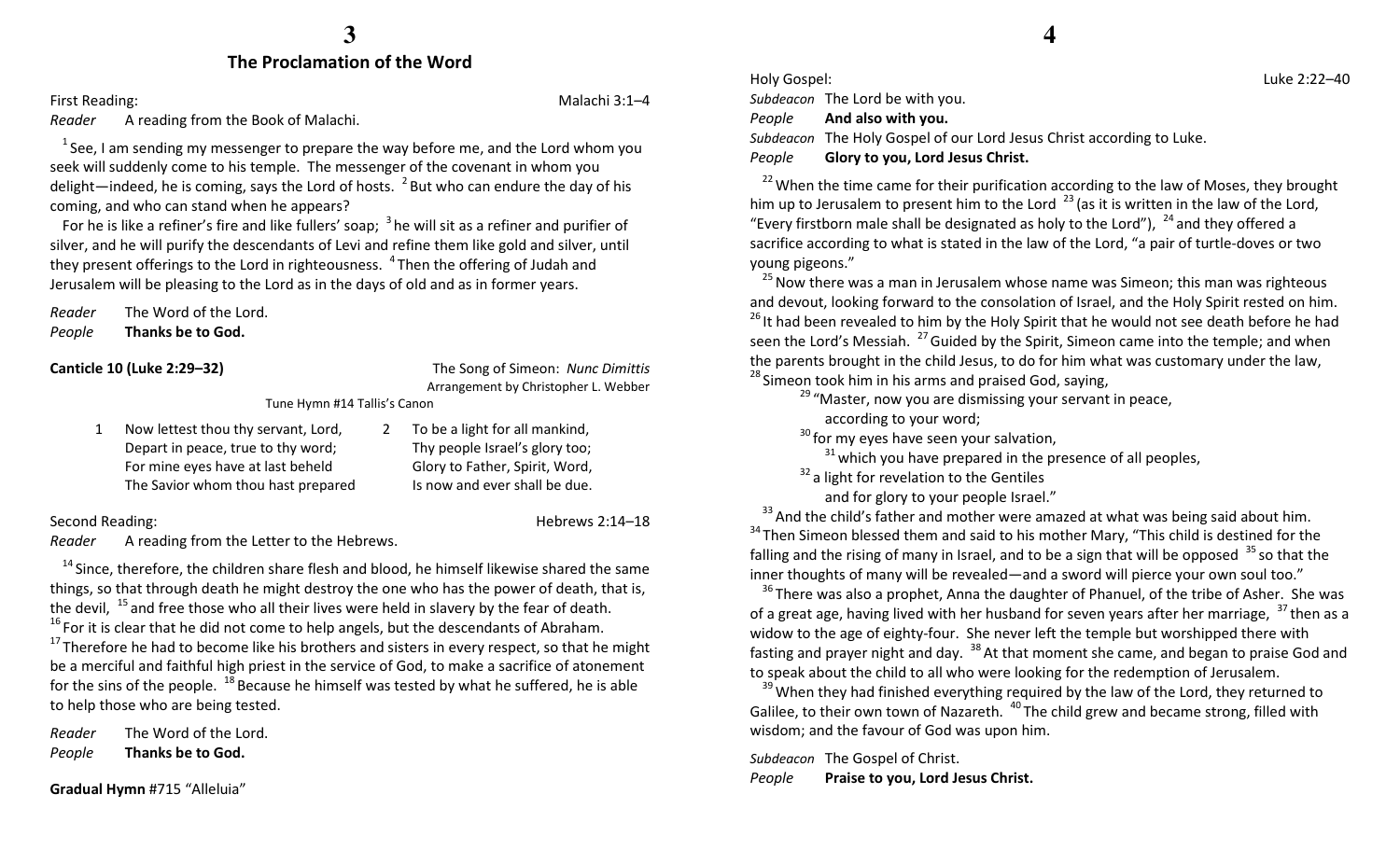# The Proclamation of the Word

First Reading: Malachi 3:1–4

Reader A reading from the Book of Malachi.

 $1$  See, I am sending my messenger to prepare the way before me, and the Lord whom you seek will suddenly come to his temple. The messenger of the covenant in whom you delight—indeed, he is coming, says the Lord of hosts.  $^{2}$  But who can endure the day of his coming, and who can stand when he appears?

For he is like a refiner's fire and like fullers' soap;  $3$  he will sit as a refiner and purifier of silver, and he will purify the descendants of Levi and refine them like gold and silver, until they present offerings to the Lord in righteousness.  $4$ Then the offering of Judah and Jerusalem will be pleasing to the Lord as in the days of old and as in former years.

Reader The Word of the Lord. PeopleThanks be to God.

# Canticle 10 (Luke 2:29–32)

 The Song of Simeon: Nunc DimittisArrangement by Christopher L. Webber

Tune Hymn #14 Tallis's Canon

- 1 Now lettest thou thy servant, Lord, Depart in peace, true to thy word; For mine eyes have at last beheld The Savior whom thou hast prepared
- 2 To be a light for all mankind, Thy people Israel's glory too; Glory to Father, Spirit, Word, Is now and ever shall be due.

# Second Reading: The Contract of the Contract of the May 10 and the Hebrews 2:14–18

Reader A reading from the Letter to the Hebrews.

 $14$  Since, therefore, the children share flesh and blood, he himself likewise shared the same things, so that through death he might destroy the one who has the power of death, that is, the devil,  $^{15}$  and free those who all their lives were held in slavery by the fear of death.  $16$  For it is clear that he did not come to help angels, but the descendants of Abraham.

 $^{17}$ Therefore he had to become like his brothers and sisters in every respect, so that he might

be a merciful and faithful high priest in the service of God, to make a sacrifice of atonement for the sins of the people.  $^{18}$  Because he himself was tested by what he suffered, he is able to help those who are being tested.

Reader The Word of the Lord. PeopleThanks be to God.

Gradual Hymn #715 "Alleluia"

Subdeacon The Lord be with you.

#### PeopleAnd also with you.

Subdeacon The Holy Gospel of our Lord Jesus Christ according to Luke.

PeopleGlory to you, Lord Jesus Christ.

 $22$  When the time came for their purification according to the law of Moses, they brought him up to Jerusalem to present him to the Lord  $^{23}$  (as it is written in the law of the Lord, "Every firstborn male shall be designated as holy to the Lord"),  $24$  and they offered a sacrifice according to what is stated in the law of the Lord, "a pair of turtle-doves or two young pigeons."

**4**

 $^{25}$ Now there was a man in Jerusalem whose name was Simeon; this man was righteous and devout, looking forward to the consolation of Israel, and the Holy Spirit rested on him.  $26$ It had been revealed to him by the Holy Spirit that he would not see death before he had seen the Lord's Messiah.  $^{27}$  Guided by the Spirit, Simeon came into the temple; and when the parents brought in the child Jesus, to do for him what was customary under the law,  $28$  Simeon took him in his arms and praised God, saying,

<sup>29</sup> "Master, now you are dismissing your servant in peace,

according to your word;

 $30$  for my eyes have seen your salvation,

 $31$  which you have prepared in the presence of all peoples,

 $32$  a light for revelation to the Gentiles

and for glory to your people Israel."

 $33$  And the child's father and mother were amazed at what was being said about him.  $34$ Then Simeon blessed them and said to his mother Mary, "This child is destined for the falling and the rising of many in Israel, and to be a sign that will be opposed  $35$  so that the inner thoughts of many will be revealed—and a sword will pierce your own soul too."

 $36$ There was also a prophet, Anna the daughter of Phanuel, of the tribe of Asher. She was of a great age, having lived with her husband for seven years after her marriage,  $\frac{37}{3}$ then as a widow to the age of eighty-four. She never left the temple but worshipped there with fasting and prayer night and day.  $38$  At that moment she came, and began to praise God and to speak about the child to all who were looking for the redemption of Jerusalem.

 $39$  When they had finished everything required by the law of the Lord, they returned to Galilee, to their own town of Nazareth. <sup>40</sup> The child grew and became strong, filled with wisdom; and the favour of God was upon him.

Subdeacon The Gospel of Christ. PeoplePraise to you, Lord Jesus Christ.

Holy Gospel: Luke 2:22–40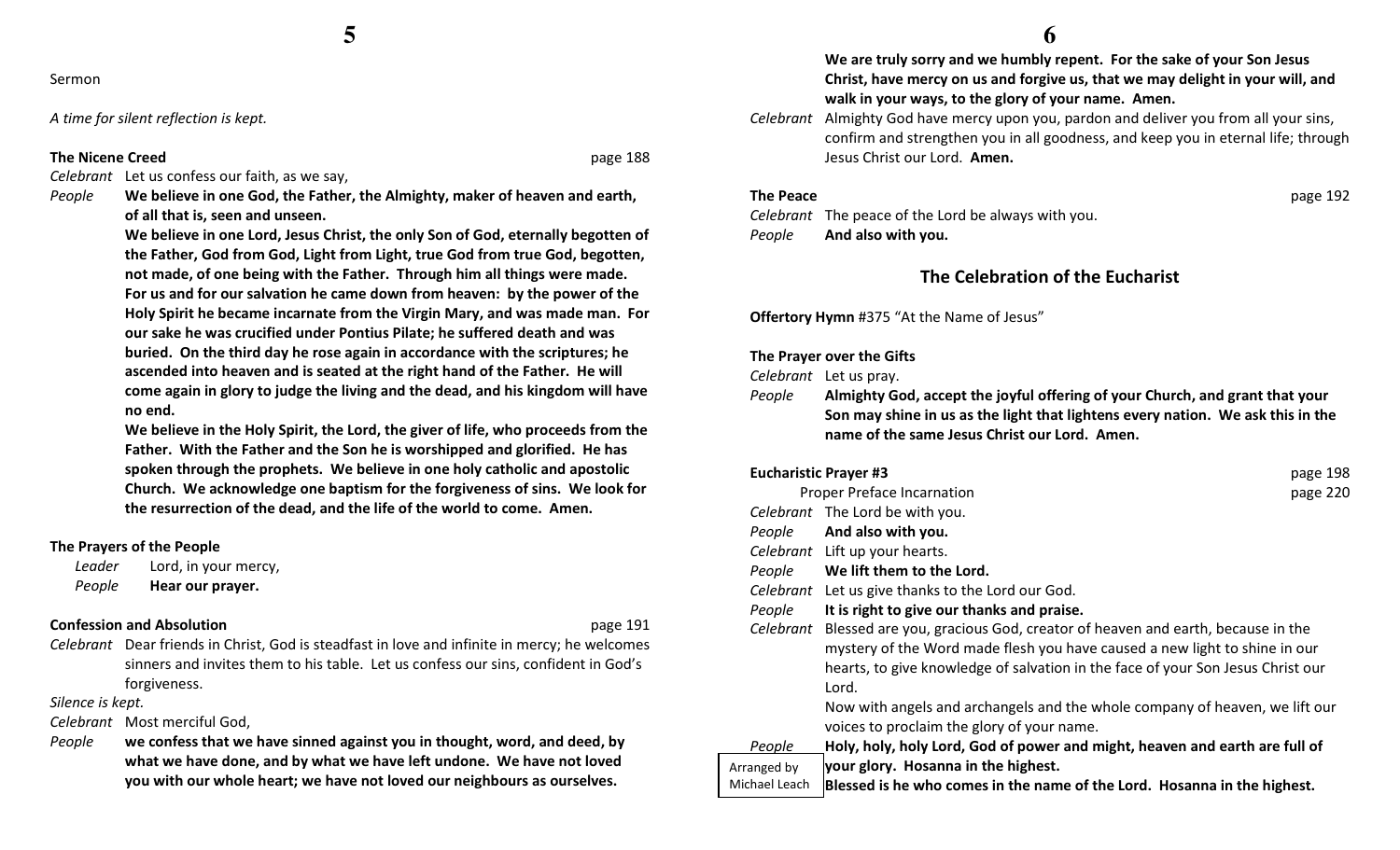**5**

Sermon

A time for silent reflection is kept.

# The Nicene Creed

d by a page 188

Celebrant Let us confess our faith, as we say,

People We believe in one God, the Father, the Almighty, maker of heaven and earth, of all that is, seen and unseen.

> We believe in one Lord, Jesus Christ, the only Son of God, eternally begotten of the Father, God from God, Light from Light, true God from true God, begotten, not made, of one being with the Father. Through him all things were made. For us and for our salvation he came down from heaven: by the power of the Holy Spirit he became incarnate from the Virgin Mary, and was made man. For our sake he was crucified under Pontius Pilate; he suffered death and was buried. On the third day he rose again in accordance with the scriptures; he ascended into heaven and is seated at the right hand of the Father. He will come again in glory to judge the living and the dead, and his kingdom will have no end.

> We believe in the Holy Spirit, the Lord, the giver of life, who proceeds from the Father. With the Father and the Son he is worshipped and glorified. He has spoken through the prophets. We believe in one holy catholic and apostolic Church. We acknowledge one baptism for the forgiveness of sins. We look for the resurrection of the dead, and the life of the world to come. Amen.

### The Prayers of the People

Leader Lord, in your mercy, PeopleHear our prayer.

# Confession and Absolution

page 191

Celebrant Dear friends in Christ, God is steadfast in love and infinite in mercy; he welcomes sinners and invites them to his table. Let us confess our sins, confident in God's forgiveness.

# Silence is kept.

- Celebrant Most merciful God,
- People we confess that we have sinned against you in thought, word, and deed, by what we have done, and by what we have left undone. We have not loved you with our whole heart; we have not loved our neighbours as ourselves.

 We are truly sorry and we humbly repent. For the sake of your Son Jesus Christ, have mercy on us and forgive us, that we may delight in your will, and walk in your ways, to the glory of your name. Amen.

Celebrant Almighty God have mercy upon you, pardon and deliver you from all your sins, confirm and strengthen you in all goodness, and keep you in eternal life; through Jesus Christ our Lord. Amen.

# The Peace

 $p$  and  $p$  and  $p$  are page 192 Celebrant The peace of the Lord be always with you. PeopleAnd also with you.

# The Celebration of the Eucharist

Offertory Hymn #375 "At the Name of Jesus"

# The Prayer over the Gifts

Celebrant Let us pray.

People Almighty God, accept the joyful offering of your Church, and grant that your Son may shine in us as the light that lightens every nation. We ask this in the name of the same Jesus Christ our Lord. Amen.

| <b>Eucharistic Prayer #3</b> |                                                                                                                                                                                                                                                                                                                                                                                   | page 198 |  |
|------------------------------|-----------------------------------------------------------------------------------------------------------------------------------------------------------------------------------------------------------------------------------------------------------------------------------------------------------------------------------------------------------------------------------|----------|--|
|                              | Proper Preface Incarnation<br>page 220                                                                                                                                                                                                                                                                                                                                            |          |  |
|                              | Celebrant The Lord be with you.                                                                                                                                                                                                                                                                                                                                                   |          |  |
| People                       | And also with you.                                                                                                                                                                                                                                                                                                                                                                |          |  |
|                              | Celebrant Lift up your hearts.                                                                                                                                                                                                                                                                                                                                                    |          |  |
| People                       | We lift them to the Lord.                                                                                                                                                                                                                                                                                                                                                         |          |  |
|                              | Celebrant Let us give thanks to the Lord our God.                                                                                                                                                                                                                                                                                                                                 |          |  |
| People                       | It is right to give our thanks and praise.                                                                                                                                                                                                                                                                                                                                        |          |  |
| Celebrant                    | Blessed are you, gracious God, creator of heaven and earth, because in the<br>mystery of the Word made flesh you have caused a new light to shine in our<br>hearts, to give knowledge of salvation in the face of your Son Jesus Christ our<br>Lord.<br>Now with angels and archangels and the whole company of heaven, we lift our<br>voices to proclaim the glory of your name. |          |  |
| People                       | Holy, holy, holy Lord, God of power and might, heaven and earth are full of                                                                                                                                                                                                                                                                                                       |          |  |
| Arranged by                  | your glory. Hosanna in the highest.                                                                                                                                                                                                                                                                                                                                               |          |  |
| Michael Leach                | Blessed is he who comes in the name of the Lord. Hosanna in the highest.                                                                                                                                                                                                                                                                                                          |          |  |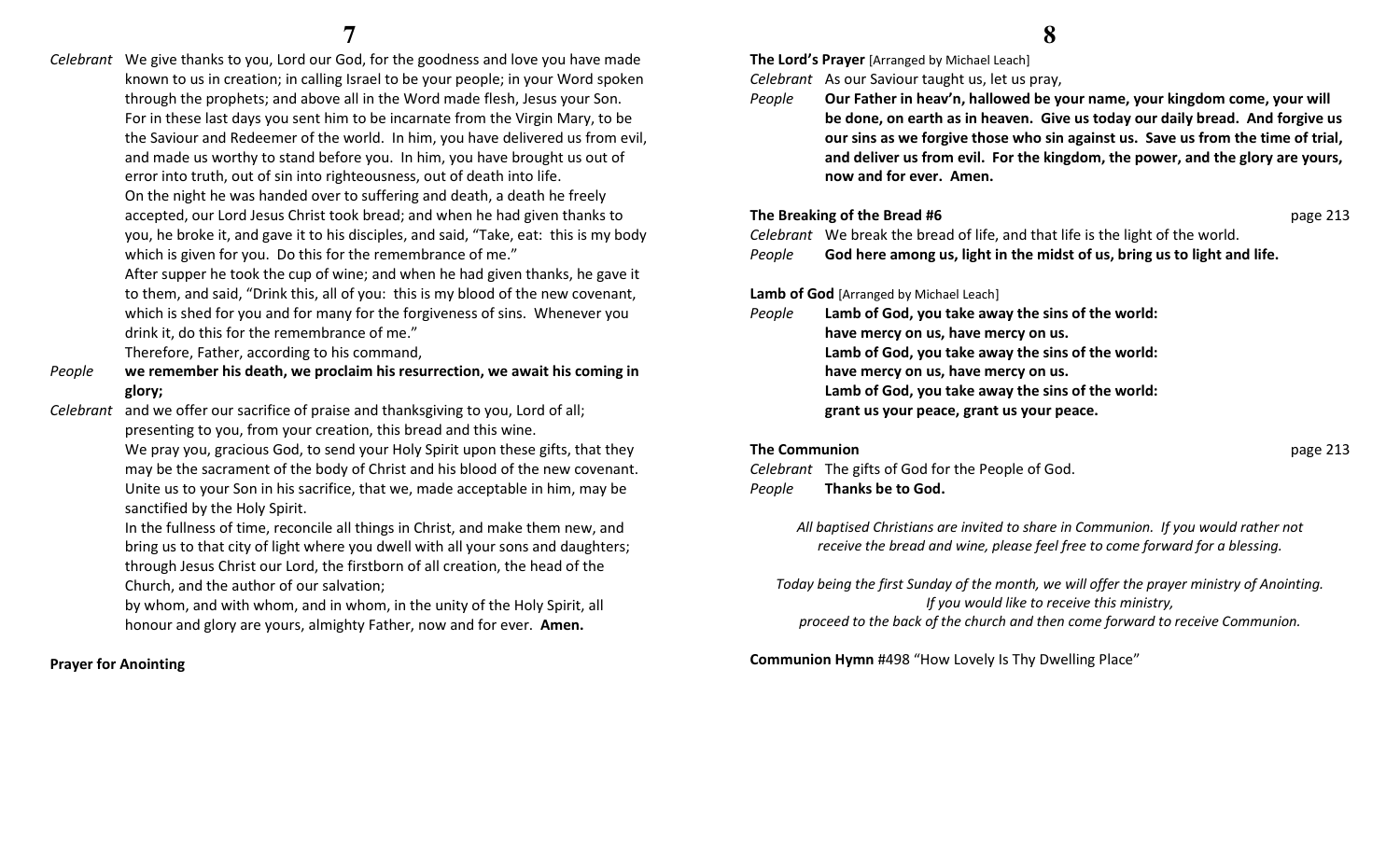- Celebrant We give thanks to you, Lord our God, for the goodness and love you have made known to us in creation; in calling Israel to be your people; in your Word spoken through the prophets; and above all in the Word made flesh, Jesus your Son. For in these last days you sent him to be incarnate from the Virgin Mary, to be the Saviour and Redeemer of the world. In him, you have delivered us from evil, and made us worthy to stand before you. In him, you have brought us out of error into truth, out of sin into righteousness, out of death into life. On the night he was handed over to suffering and death, a death he freely accepted, our Lord Jesus Christ took bread; and when he had given thanks to you, he broke it, and gave it to his disciples, and said, "Take, eat: this is my body which is given for you. Do this for the remembrance of me." After supper he took the cup of wine; and when he had given thanks, he gave it to them, and said, "Drink this, all of you: this is my blood of the new covenant, which is shed for you and for many for the forgiveness of sins. Whenever you drink it, do this for the remembrance of me." Therefore, Father, according to his command,
- People we remember his death, we proclaim his resurrection, we await his coming in glory;
- Celebrant and we offer our sacrifice of praise and thanksgiving to you, Lord of all; presenting to you, from your creation, this bread and this wine.
	- We pray you, gracious God, to send your Holy Spirit upon these gifts, that they may be the sacrament of the body of Christ and his blood of the new covenant. Unite us to your Son in his sacrifice, that we, made acceptable in him, may be sanctified by the Holy Spirit.
	- In the fullness of time, reconcile all things in Christ, and make them new, and bring us to that city of light where you dwell with all your sons and daughters; through Jesus Christ our Lord, the firstborn of all creation, the head of the Church, and the author of our salvation;
	- by whom, and with whom, and in whom, in the unity of the Holy Spirit, all honour and glory are yours, almighty Father, now and for ever. Amen.

# Prayer for Anointing

**The Lord's Prayer** [Arranged by Michael Leach]

Celebrant As our Saviour taught us, let us pray,

People Our Father in heav'n, hallowed be your name, your kingdom come, your will be done, on earth as in heaven. Give us today our daily bread. And forgive us our sins as we forgive those who sin against us. Save us from the time of trial, and deliver us from evil. For the kingdom, the power, and the glory are yours, now and for ever. Amen.

### The Breaking of the Bread #6 $\overline{6}$  page 213

Celebrant We break the bread of life, and that life is the light of the world.

PeopleGod here among us, light in the midst of us, bring us to light and life.

**Lamb of God** [Arranged by Michael Leach]

People Lamb of God, you take away the sins of the world: have mercy on us, have mercy on us. Lamb of God, you take away the sins of the world: have mercy on us, have mercy on us. Lamb of God, you take away the sins of the world: grant us your peace, grant us your peace.

# The Communion

**n** page 213 Celebrant The gifts of God for the People of God. PeopleThanks be to God.

All baptised Christians are invited to share in Communion. If you would rather not receive the bread and wine, please feel free to come forward for a blessing.

Today being the first Sunday of the month, we will offer the prayer ministry of Anointing. If you would like to receive this ministry, proceed to the back of the church and then come forward to receive Communion.

Communion Hymn #498 "How Lovely Is Thy Dwelling Place"